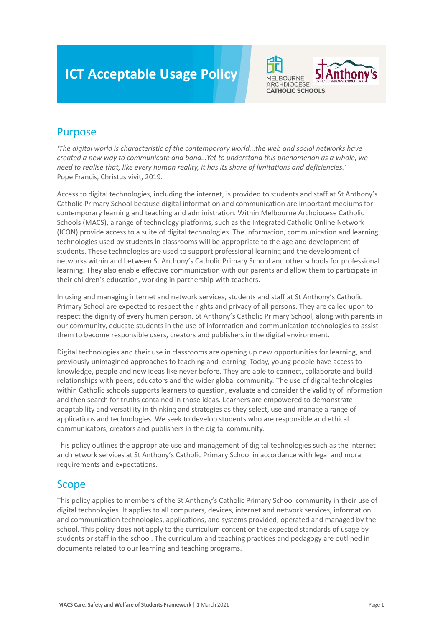# **ICT Acceptable Usage Policy**



# Purpose

*'The digital world is characteristic of the contemporary world...the web and social networks have created a new way to communicate and bond…Yet to understand this phenomenon as a whole, we need to realise that, like every human reality, it has its share of limitations and deficiencies.'* Pope Francis, Christus vivit, 2019.

Access to digital technologies, including the internet, is provided to students and staff at St Anthony's Catholic Primary School because digital information and communication are important mediums for contemporary learning and teaching and administration. Within Melbourne Archdiocese Catholic Schools (MACS), a range of technology platforms, such as the Integrated Catholic Online Network (ICON) provide access to a suite of digital technologies. The information, communication and learning technologies used by students in classrooms will be appropriate to the age and development of students. These technologies are used to support professional learning and the development of networks within and between St Anthony's Catholic Primary School and other schools for professional learning. They also enable effective communication with our parents and allow them to participate in their children's education, working in partnership with teachers.

In using and managing internet and network services, students and staff at St Anthony's Catholic Primary School are expected to respect the rights and privacy of all persons. They are called upon to respect the dignity of every human person. St Anthony's Catholic Primary School, along with parents in our community, educate students in the use of information and communication technologies to assist them to become responsible users, creators and publishers in the digital environment.

Digital technologies and their use in classrooms are opening up new opportunities for learning, and previously unimagined approaches to teaching and learning. Today, young people have access to knowledge, people and new ideas like never before. They are able to connect, collaborate and build relationships with peers, educators and the wider global community. The use of digital technologies within Catholic schools supports learners to question, evaluate and consider the validity of information and then search for truths contained in those ideas. Learners are empowered to demonstrate adaptability and versatility in thinking and strategies as they select, use and manage a range of applications and technologies. We seek to develop students who are responsible and ethical communicators, creators and publishers in the digital community.

This policy outlines the appropriate use and management of digital technologies such as the internet and network services at St Anthony's Catholic Primary School in accordance with legal and moral requirements and expectations.

## Scope

This policy applies to members of the St Anthony's Catholic Primary School community in their use of digital technologies. It applies to all computers, devices, internet and network services, information and communication technologies, applications, and systems provided, operated and managed by the school. This policy does not apply to the curriculum content or the expected standards of usage by students or staff in the school. The curriculum and teaching practices and pedagogy are outlined in documents related to our learning and teaching programs.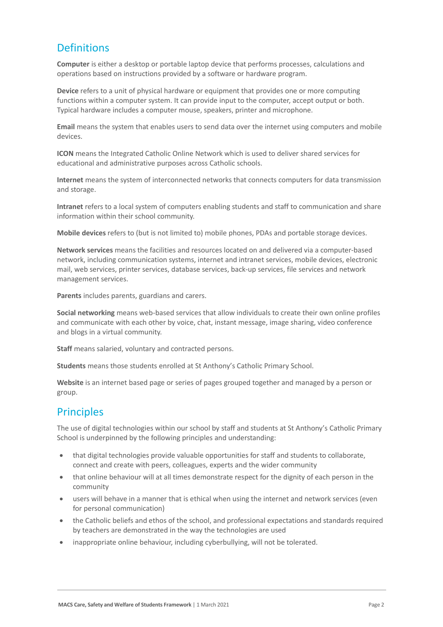# **Definitions**

**Computer** is either a desktop or portable laptop device that performs processes, calculations and operations based on instructions provided by a software or hardware program.

**Device** refers to a unit of physical hardware or equipment that provides one or more computing functions within a computer system. It can provide input to the computer, accept output or both. Typical hardware includes a computer mouse, speakers, printer and microphone.

**Email** means the system that enables users to send data over the internet using computers and mobile devices.

**ICON** means the Integrated Catholic Online Network which is used to deliver shared services for educational and administrative purposes across Catholic schools.

**Internet** means the system of interconnected networks that connects computers for data transmission and storage.

**Intranet** refers to a local system of computers enabling students and staff to communication and share information within their school community.

**Mobile devices** refers to (but is not limited to) mobile phones, PDAs and portable storage devices.

**Network services** means the facilities and resources located on and delivered via a computer-based network, including communication systems, internet and intranet services, mobile devices, electronic mail, web services, printer services, database services, back-up services, file services and network management services.

**Parents** includes parents, guardians and carers.

**Social networking** means web-based services that allow individuals to create their own online profiles and communicate with each other by voice, chat, instant message, image sharing, video conference and blogs in a virtual community.

**Staff** means salaried, voluntary and contracted persons.

**Students** means those students enrolled at St Anthony's Catholic Primary School.

**Website** is an internet based page or series of pages grouped together and managed by a person or group.

### **Principles**

The use of digital technologies within our school by staff and students at St Anthony's Catholic Primary School is underpinned by the following principles and understanding:

- that digital technologies provide valuable opportunities for staff and students to collaborate, connect and create with peers, colleagues, experts and the wider community
- that online behaviour will at all times demonstrate respect for the dignity of each person in the community
- users will behave in a manner that is ethical when using the internet and network services (even for personal communication)
- the Catholic beliefs and ethos of the school, and professional expectations and standards required by teachers are demonstrated in the way the technologies are used
- inappropriate online behaviour, including cyberbullying, will not be tolerated.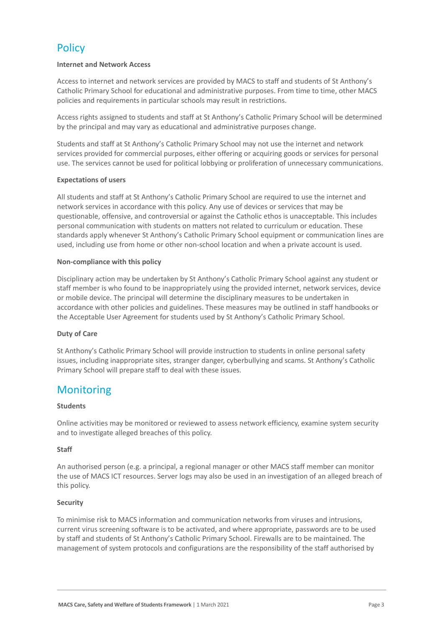# **Policy**

#### **Internet and Network Access**

Access to internet and network services are provided by MACS to staff and students of St Anthony's Catholic Primary School for educational and administrative purposes. From time to time, other MACS policies and requirements in particular schools may result in restrictions.

Access rights assigned to students and staff at St Anthony's Catholic Primary School will be determined by the principal and may vary as educational and administrative purposes change.

Students and staff at St Anthony's Catholic Primary School may not use the internet and network services provided for commercial purposes, either offering or acquiring goods or services for personal use. The services cannot be used for political lobbying or proliferation of unnecessary communications.

#### **Expectations of users**

All students and staff at St Anthony's Catholic Primary School are required to use the internet and network services in accordance with this policy. Any use of devices or services that may be questionable, offensive, and controversial or against the Catholic ethos is unacceptable. This includes personal communication with students on matters not related to curriculum or education. These standards apply whenever St Anthony's Catholic Primary School equipment or communication lines are used, including use from home or other non-school location and when a private account is used.

#### **Non-compliance with this policy**

Disciplinary action may be undertaken by St Anthony's Catholic Primary School against any student or staff member is who found to be inappropriately using the provided internet, network services, device or mobile device. The principal will determine the disciplinary measures to be undertaken in accordance with other policies and guidelines. These measures may be outlined in staff handbooks or the Acceptable User Agreement for students used by St Anthony's Catholic Primary School.

#### **Duty of Care**

St Anthony's Catholic Primary School will provide instruction to students in online personal safety issues, including inappropriate sites, stranger danger, cyberbullying and scams. St Anthony's Catholic Primary School will prepare staff to deal with these issues.

### **Monitoring**

#### **Students**

Online activities may be monitored or reviewed to assess network efficiency, examine system security and to investigate alleged breaches of this policy.

#### **Staff**

An authorised person (e.g. a principal, a regional manager or other MACS staff member can monitor the use of MACS ICT resources. Server logs may also be used in an investigation of an alleged breach of this policy.

#### **Security**

To minimise risk to MACS information and communication networks from viruses and intrusions, current virus screening software is to be activated, and where appropriate, passwords are to be used by staff and students of St Anthony's Catholic Primary School. Firewalls are to be maintained. The management of system protocols and configurations are the responsibility of the staff authorised by